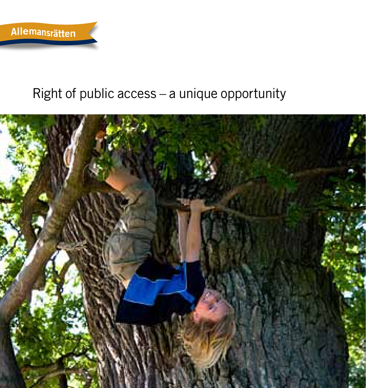

# Right of public access – a unique opportunity

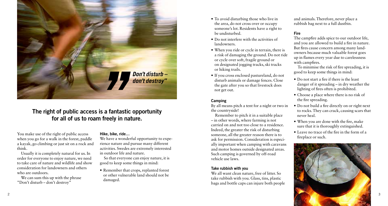

## The right of public access is a fantastic opportunity for all of us to roam freely in nature.

You make use of the right of public access when you go for a walk in the forest, paddle a kayak, go climbing or just sit on a rock and think.

Usually it is completely natural for us. In order for everyone to enjoy nature, we need to take care of nature and wildlife and show consideration for landowners and others who are outdoors.

We can sum this up with the phrase "Don't disturb – don't destroy"

#### Hike, bike, ride…

We have a wonderful opportunity to experience nature and pursue many different activities. Swedes are extremely interested in outdoor life and nature.

So that everyone can enjoy nature, it is good to keep some things in mind:

• Remember that crops, replanted forest or other vulnerable land should not be damaged.

- To avoid disturbing those who live in the area, do not cross over or occupy someone's lot. Residents have a right to be undisturbed.
- Do not interfere with the activities of landowners.
- When you ride or cycle in terrain, there is a risk of damaging the ground. Do not ride or cycle over soft, fragile ground or on designated jogging tracks, ski tracks or hiking trails.
- If you cross enclosed pastureland, do not disturb animals or damage fences. Close the gate after you so that livestock does not get out.

#### **Camping**

By all means pitch a tent for a night or two in the countryside!

Remember to pitch it in a suitable place – in other words, where farming is not carried on and not too close to a residence. Indeed, the greater the risk of disturbing someone, all the greater reason there is to ask for permission. Consideration is especially important when camping with caravans and motor homes outside designated areas. Such camping is governed by off-road vehicle use laws.

#### Take rubbish with you

We all want clean nature, free of litter. So take rubbish with you. Glass, tins, plastic bags and bottle caps can injure both people and animals. Therefore, never place a rubbish bag next to a full dustbin.

#### Fire

The campfire adds spice to our outdoor life, and you are allowed to build a fire in nature. But fires cause concern among many landowners because much valuable forest goes up in flames every year due to carelessness with campfires.

To minimise the risk of fire spreading, it is good to keep some things in mind:

- Do not start a fire if there is the least danger of it spreading – in dry weather the lighting of fires often is prohibited.
- Choose a place where there is no risk of the fire spreading.
- Do not build a fire directly on or right next to rocks. They can crack, causing scars that never heal.
- When you are done with the fire, make sure that it is thoroughly extinguished.
- Leave no trace of the fire in the form of a fireplace or such.

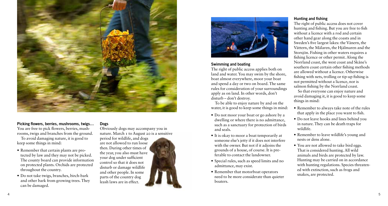

#### Picking flowers, berries, mushrooms, twigs… You are free to pick flowers, berries, mushrooms, twigs and branches from the ground. To avoid damaging nature, it is good to keep some things in mind:

- Remember that certain plants are protected by law and they may not be picked. The county board can provide information on protected plants. Orchids are protected throughout the country.
- Do not take twigs, branches, birch-bark and other bark from growing trees. They can be damaged.

Dogs

Obviously dogs may accompany you in nature. March 1 to August 20 is a sensitive period for wildlife, and dogs are not allowed to run loose then. During other times of the year, you also must have your dog under sufficient control so that it does not disturb or damage wildlife and other people. In some parts of the country dog leash laws are in effect.



#### Swimming and boating

The right of public access applies both on land and water. You may swim by the shore, boat almost everywhere, moor your boat and spend a day or two on board. The same rules for consideration of your surroundings apply as on land. In other words, don't disturb – don't destroy.

To be able to enjoy nature by and on the water, it is good to keep some things in mind:

- Do not moor your boat or go ashore by a dwelling or where there is no admittance, such as a sanctuary for protection of birds and seals.
- It is okay to moor a boat temporarily at someone else's jetty if it does not interfere with the owner. But not if it adjoins the grounds of a house, of course. It is preferable to contact the landowner.
- Special rules, such as speed limits and no admittance, may exist.
- Remember that motorboat operators need to be more considerate than quieter boaters.

#### Hunting and fishing

The right of public access does not cover hunting and fishing. But you are free to fish without a licence with a rod and certain other hand gear along the coasts and in Sweden's five largest lakes: the Vänern, the Vättern, the Mälaren, the Hjälmaren and the Storsjön. Fishing in other waters requires a fishing licence or other permit. Along the Norrland coast, the west coast and Skåne's southern coast certain other fishing methods are allowed without a licence. Otherwise fishing with nets, trolling or tip-up fishing is not permitted without a licence, nor is salmon fishing by the Norrland coast.

So that everyone can enjoy nature and avoid damaging it, it is good to keep some things in mind:

- Remember to always take note of the rules that apply in the place you want to fish.
- Do not leave hooks and lines behind you in nature. They can be death traps for wildlife.
- Remember to leave wildlife's young and nests or dens alone.
- You are not allowed to take bird eggs. That is considered hunting. All wild animals and birds are protected by law. Hunting may be carried on in accordance with hunting regulations. Species threatened with extinction, such as frogs and snakes, are protected.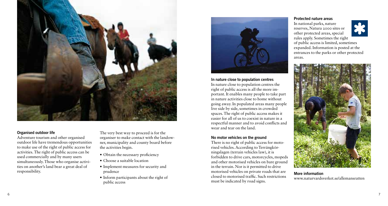

#### Organised outdoor life

Adventure tourism and other organised outdoor life have tremendous opportunities to make use of the right of public access for activities. The right of public access can be used commercially and by many users simultaneously. Those who organise activities on another's land bear a great deal of responsibility.

The very best way to proceed is for the organiser to make contact with the landowner, municipality and county board before the activities begin.

- Obtain the necessary proficiency
- Choose a suitable location
- Implement measures for security and prudence
- Inform participants about the right of public access



In nature close to population centres In nature close to population centres the right of public access is all the more important. It enables many people to take part in nature activities close to home without going away. In populated areas many people live side by side, sometimes in crowded spaces. The right of public access makes it easier for all of us to coexist in nature in a respectful manner and to avoid conflicts and wear and tear on the land.

#### No motor vehicles on the ground

There is no right of public access for motorised vehicles. According to Terrängkörningslagen (terrain vehicles law), it is forbidden to drive cars, motorcycles, mopeds and other motorised vehicles on bare ground in the terrain. Nor is it permitted to drive motorised vehicles on private roads that are closed to motorised traffic. Such restrictions must be indicated by road signs.

### Protected nature areas **om träde eller stolpar vid som träde stolpar vid sådana område**

In national parks, nature reserves, Natura 2000 sites or other protected areas, special rules apply. Sometimes the right of public access is limited, sometimes expanded. Information is posted at the entrances to the parks or other protected areas. areas.



More information www.naturvardsverket.se/allemansratten